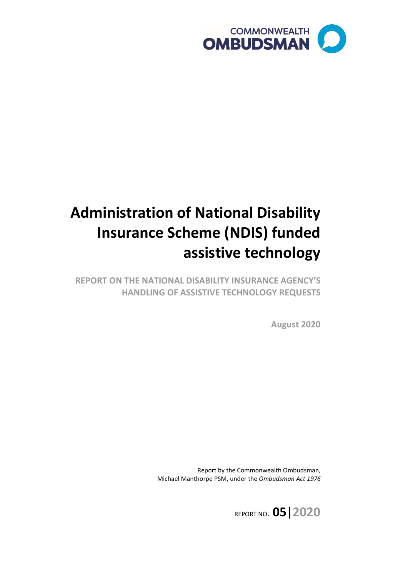

# **Administration of National Disability Insurance Scheme (NDIS) funded assistive technology**

 **HANDLING OF ASSISTIVE TECHNOLOGY REQUESTS REPORT ON THE NATIONAL DISABILITY INSURANCE AGENCY'S** 

**August 2020** 

 Report by the Commonwealth Ombudsman, Michael Manthorpe PSM, under the *Ombudsman Act 1976* 

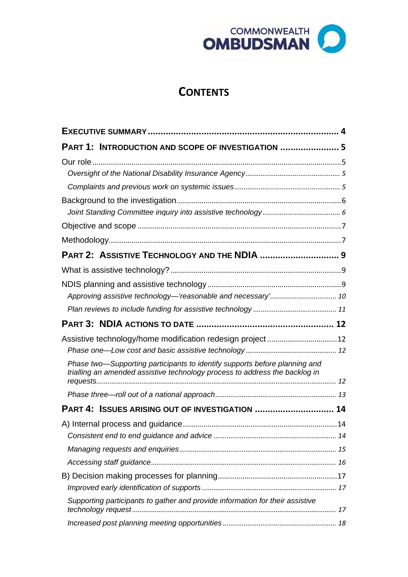

# **CONTENTS**

| PART 1: INTRODUCTION AND SCOPE OF INVESTIGATION  5                                                                                                        |  |
|-----------------------------------------------------------------------------------------------------------------------------------------------------------|--|
|                                                                                                                                                           |  |
|                                                                                                                                                           |  |
|                                                                                                                                                           |  |
|                                                                                                                                                           |  |
|                                                                                                                                                           |  |
|                                                                                                                                                           |  |
|                                                                                                                                                           |  |
| PART 2: ASSISTIVE TECHNOLOGY AND THE NDIA  9                                                                                                              |  |
|                                                                                                                                                           |  |
|                                                                                                                                                           |  |
|                                                                                                                                                           |  |
|                                                                                                                                                           |  |
|                                                                                                                                                           |  |
| Assistive technology/home modification redesign project12                                                                                                 |  |
|                                                                                                                                                           |  |
| Phase two-Supporting participants to identify supports before planning and<br>trialling an amended assistive technology process to address the backlog in |  |
|                                                                                                                                                           |  |
| PART 4: ISSUES ARISING OUT OF INVESTIGATION  14                                                                                                           |  |
|                                                                                                                                                           |  |
|                                                                                                                                                           |  |
|                                                                                                                                                           |  |
|                                                                                                                                                           |  |
|                                                                                                                                                           |  |
|                                                                                                                                                           |  |
| Supporting participants to gather and provide information for their assistive                                                                             |  |
|                                                                                                                                                           |  |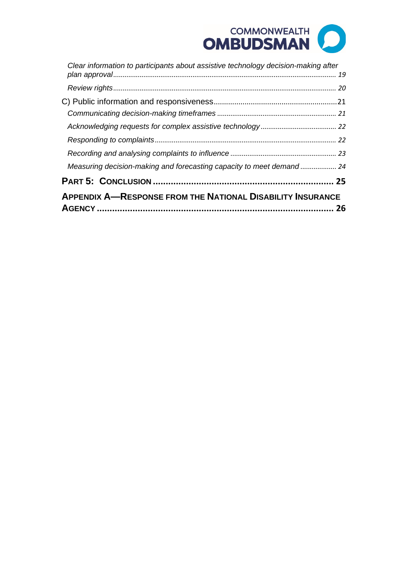# COMMONWEALTH **OMBUDSMAN**

| <b>APPENDIX A-RESPONSE FROM THE NATIONAL DISABILITY INSURANCE</b>                  | 26 |
|------------------------------------------------------------------------------------|----|
|                                                                                    |    |
| Measuring decision-making and forecasting capacity to meet demand 24               |    |
|                                                                                    |    |
|                                                                                    |    |
|                                                                                    |    |
|                                                                                    |    |
|                                                                                    |    |
|                                                                                    |    |
| Clear information to participants about assistive technology decision-making after |    |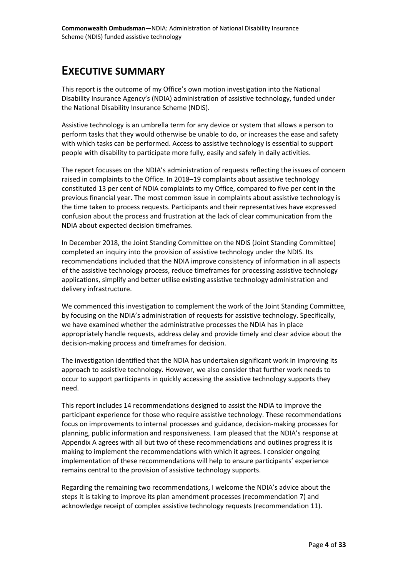# <span id="page-3-0"></span>**EXECUTIVE SUMMARY**

 This report is the outcome of my Office's own motion investigation into the National Disability Insurance Agency's (NDIA) administration of assistive technology, funded under the National Disability Insurance Scheme (NDIS).

 Assistive technology is an umbrella term for any device or system that allows a person to perform tasks that they would otherwise be unable to do, or increases the ease and safety with which tasks can be performed. Access to assistive technology is essential to support people with disability to participate more fully, easily and safely in daily activities.

 raised in complaints to the Office. In 2018–19 complaints about assistive technology constituted 13 per cent of NDIA complaints to my Office, compared to five per cent in the previous financial year. The most common issue in complaints about assistive technology is confusion about the process and frustration at the lack of clear communication from the The report focusses on the NDIA's administration of requests reflecting the issues of concern the time taken to process requests. Participants and their representatives have expressed NDIA about expected decision timeframes.

In December 2018, the Joint Standing Committee on the NDIS (Joint Standing Committee) completed an inquiry into the provision of assistive technology under the NDIS. Its recommendations included that the NDIA improve consistency of information in all aspects of the assistive technology process, reduce timeframes for processing assistive technology applications, simplify and better utilise existing assistive technology administration and delivery infrastructure.

 We commenced this investigation to complement the work of the Joint Standing Committee, by focusing on the NDIA's administration of requests for assistive technology. Specifically, appropriately handle requests, address delay and provide timely and clear advice about the we have examined whether the administrative processes the NDIA has in place decision-making process and timeframes for decision.

The investigation identified that the NDIA has undertaken significant work in improving its approach to assistive technology. However, we also consider that further work needs to occur to support participants in quickly accessing the assistive technology supports they need.

 Appendix A agrees with all but two of these recommendations and outlines progress it is remains central to the provision of assistive technology supports. This report includes 14 recommendations designed to assist the NDIA to improve the participant experience for those who require assistive technology. These recommendations focus on improvements to internal processes and guidance, decision-making processes for planning, public information and responsiveness. I am pleased that the NDIA's response at making to implement the recommendations with which it agrees. I consider ongoing implementation of these recommendations will help to ensure participants' experience

remains central to the provision of assistive technology supports.<br>Regarding the remaining two recommendations, I welcome the NDIA's advice about the steps it is taking to improve its plan amendment processes (recommendation 7) and acknowledge receipt of complex assistive technology requests (recommendation 11).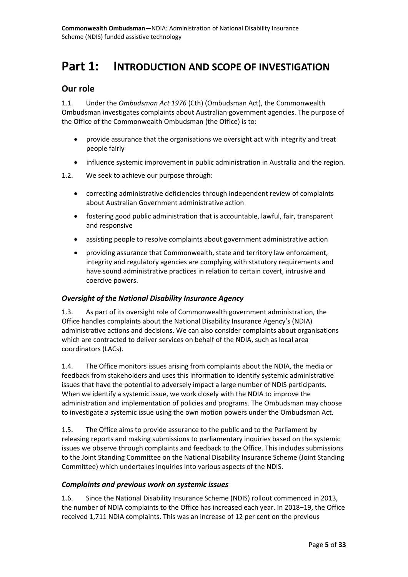# <span id="page-4-0"></span>**Part 1: INTRODUCTION AND SCOPE OF INVESTIGATION**

### <span id="page-4-1"></span>**Our role**

 1.1. Under the *Ombudsman Act 1976* (Cth) (Ombudsman Act), the Commonwealth Ombudsman investigates complaints about Australian government agencies. The purpose of the Office of the Commonwealth Ombudsman (the Office) is to:

- • provide assurance that the organisations we oversight act with integrity and treat people fairly
- influence systemic improvement in public administration in Australia and the region.
- 1.2. We seek to achieve our purpose through:
	- correcting administrative deficiencies through independent review of complaints about Australian Government administrative action
	- and responsive • fostering good public administration that is accountable, lawful, fair, transparent
	- assisting people to resolve complaints about government administrative action
	- providing assurance that Commonwealth, state and territory law enforcement, integrity and regulatory agencies are complying with statutory requirements and have sound administrative practices in relation to certain covert, intrusive and coercive powers.

### <span id="page-4-2"></span>*Oversight of the National Disability Insurance Agency*

 Office handles complaints about the National Disability Insurance Agency's (NDIA) which are contracted to deliver services on behalf of the NDIA, such as local area 1.3. As part of its oversight role of Commonwealth government administration, the administrative actions and decisions. We can also consider complaints about organisations coordinators (LACs).

 1.4. The Office monitors issues arising from complaints about the NDIA, the media or feedback from stakeholders and uses this information to identify systemic administrative issues that have the potential to adversely impact a large number of NDIS participants. When we identify a systemic issue, we work closely with the NDIA to improve the administration and implementation of policies and programs. The Ombudsman may choose to investigate a systemic issue using the own motion powers under the Ombudsman Act.

 issues we observe through complaints and feedback to the Office. This includes submissions to the Joint Standing Committee on the National Disability Insurance Scheme (Joint Standing Committee) which undertakes inquiries into various aspects of the NDIS. 1.5. The Office aims to provide assurance to the public and to the Parliament by releasing reports and making submissions to parliamentary inquiries based on the systemic

#### <span id="page-4-3"></span>*Complaints and previous work on systemic issues*

 1.6. Since the National Disability Insurance Scheme (NDIS) rollout commenced in 2013, the number of NDIA complaints to the Office has increased each year. In 2018–19, the Office received 1,711 NDIA complaints. This was an increase of 12 per cent on the previous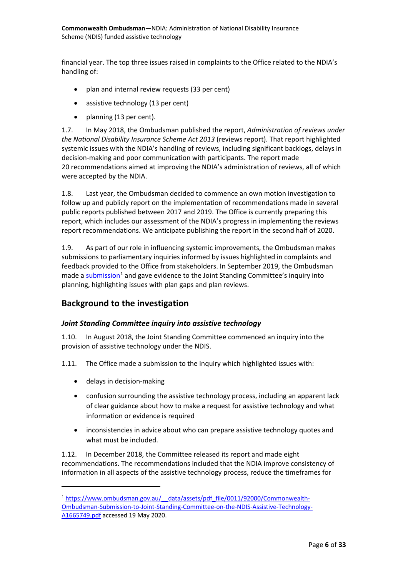financial year. The top three issues raised in complaints to the Office related to the NDIA's handling of:

- plan and internal review requests (33 per cent)
- assistive technology (13 per cent)
- planning (13 per cent).

 1.7. In May 2018, the Ombudsman published the report, *Administration of reviews under the National Disability Insurance Scheme Act 2013* (reviews report). That report highlighted systemic issues with the NDIA's handling of reviews, including significant backlogs, delays in decision-making and poor communication with participants. The report made 20 recommendations aimed at improving the NDIA's administration of reviews, all of which were accepted by the NDIA.

 public reports published between 2017 and 2019. The Office is currently preparing this 1.8. Last year, the Ombudsman decided to commence an own motion investigation to follow up and publicly report on the implementation of recommendations made in several report, which includes our assessment of the NDIA's progress in implementing the reviews report recommendations. We anticipate publishing the report in the second half of 2020.

 planning, highlighting issues with plan gaps and plan reviews. 1.9. As part of our role in influencing systemic improvements, the Ombudsman makes submissions to parliamentary inquiries informed by issues highlighted in complaints and feedback provided to the Office from stakeholders. In September 2019, the Ombudsman made a  $\frac{\text{submission}^1}{\text{and}}$  $\frac{\text{submission}^1}{\text{and}}$  $\frac{\text{submission}^1}{\text{and}}$  and gave evidence to the Joint Standing Committee's inquiry into

### <span id="page-5-0"></span>**Background to the investigation**

### <span id="page-5-1"></span> *Joint Standing Committee inquiry into assistive technology*

1.10. In August 2018, the Joint Standing Committee commenced an inquiry into the provision of assistive technology under the NDIS.

1.11. The Office made a submission to the inquiry which highlighted issues with:

• delays in decision-making

 $\overline{a}$ 

- confusion surrounding the assistive technology process, including an apparent lack of clear guidance about how to make a request for assistive technology and what information or evidence is required
- what must be included. • inconsistencies in advice about who can prepare assistive technology quotes and

1.12. In December 2018, the Committee released its report and made eight recommendations. The recommendations included that the NDIA improve consistency of information in all aspects of the assistive technology process, reduce the timeframes for

<span id="page-5-2"></span><sup>&</sup>lt;sup>1</sup> https://www.ombudsman.gov.au/ data/assets/pdf file/0011/92000/Commonwealth-[Ombudsman-Submission-to-Joint-Standing-Committee-on-the-NDIS-Assistive-Technology-](https://www.ombudsman.gov.au/__data/assets/pdf_file/0011/92000/Commonwealth-Ombudsman-Submission-to-Joint-Standing-Committee-on-the-NDIS-Assistive-Technology-A1665749.pdf)[A1665749.pdf a](https://www.ombudsman.gov.au/__data/assets/pdf_file/0011/92000/Commonwealth-Ombudsman-Submission-to-Joint-Standing-Committee-on-the-NDIS-Assistive-Technology-A1665749.pdf)ccessed 19 May 2020.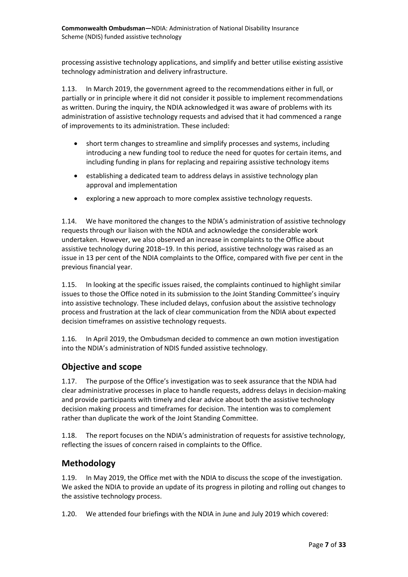technology administration and delivery infrastructure. processing assistive technology applications, and simplify and better utilise existing assistive

1.13. In March 2019, the government agreed to the recommendations either in full, or partially or in principle where it did not consider it possible to implement recommendations as written. During the inquiry, the NDIA acknowledged it was aware of problems with its administration of assistive technology requests and advised that it had commenced a range of improvements to its administration. These included:

- introducing a new funding tool to reduce the need for quotes for certain items, and including funding in plans for replacing and repairing assistive technology items • short term changes to streamline and simplify processes and systems, including
- establishing a dedicated team to address delays in assistive technology plan approval and implementation
- exploring a new approach to more complex assistive technology requests.

 1.14. We have monitored the changes to the NDIA's administration of assistive technology issue in 13 per cent of the NDIA complaints to the Office, compared with five per cent in the previous financial year. requests through our liaison with the NDIA and acknowledge the considerable work undertaken. However, we also observed an increase in complaints to the Office about assistive technology during 2018–19. In this period, assistive technology was raised as an

 issues to those the Office noted in its submission to the Joint Standing Committee's inquiry into assistive technology. These included delays, confusion about the assistive technology 1.15. In looking at the specific issues raised, the complaints continued to highlight similar process and frustration at the lack of clear communication from the NDIA about expected decision timeframes on assistive technology requests.

1.16. In April 2019, the Ombudsman decided to commence an own motion investigation into the NDIA's administration of NDIS funded assistive technology.

### <span id="page-6-0"></span>**Objective and scope**

1.17. The purpose of the Office's investigation was to seek assurance that the NDIA had clear administrative processes in place to handle requests, address delays in decision-making and provide participants with timely and clear advice about both the assistive technology decision making process and timeframes for decision. The intention was to complement rather than duplicate the work of the Joint Standing Committee.

 1.18. The report focuses on the NDIA's administration of requests for assistive technology, reflecting the issues of concern raised in complaints to the Office.

### <span id="page-6-1"></span>**Methodology**

 1.19. In May 2019, the Office met with the NDIA to discuss the scope of the investigation. We asked the NDIA to provide an update of its progress in piloting and rolling out changes to the assistive technology process.

1.20. We attended four briefings with the NDIA in June and July 2019 which covered: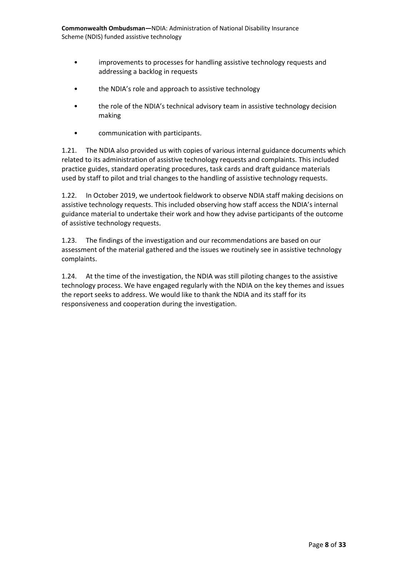**Commonwealth Ombudsman—**NDIA: Administration of National Disability Insurance Scheme (NDIS) funded assistive technology

- improvements to processes for handling assistive technology requests and addressing a backlog in requests
- the NDIA's role and approach to assistive technology
- the role of the NDIA's technical advisory team in assistive technology decision making
- communication with participants.

 1.21. The NDIA also provided us with copies of various internal guidance documents which used by staff to pilot and trial changes to the handling of assistive technology requests. related to its administration of assistive technology requests and complaints. This included practice guides, standard operating procedures, task cards and draft guidance materials

 1.22. In October 2019, we undertook fieldwork to observe NDIA staff making decisions on assistive technology requests. This included observing how staff access the NDIA's internal guidance material to undertake their work and how they advise participants of the outcome of assistive technology requests.

1.23. The findings of the investigation and our recommendations are based on our assessment of the material gathered and the issues we routinely see in assistive technology complaints.

1.24. At the time of the investigation, the NDIA was still piloting changes to the assistive technology process. We have engaged regularly with the NDIA on the key themes and issues the report seeks to address. We would like to thank the NDIA and its staff for its responsiveness and cooperation during the investigation.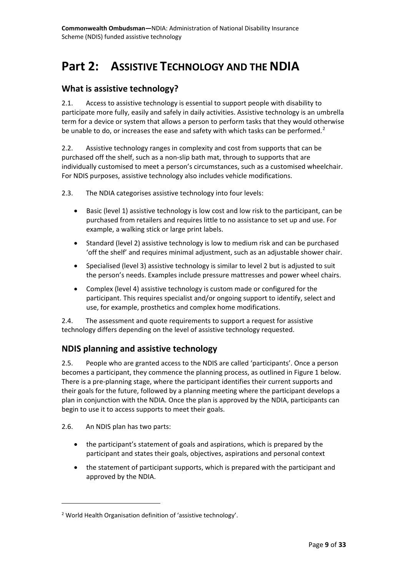# <span id="page-8-0"></span>**Part 2: ASSISTIVE TECHNOLOGY AND THE NDIA**

### <span id="page-8-1"></span>**What is assistive technology?**

 2.1. Access to assistive technology is essential to support people with disability to term for a device or system that allows a person to perform tasks that they would otherwise participate more fully, easily and safely in daily activities. Assistive technology is an umbrella be unable to do, or increases the ease and safety with which tasks can be performed.<sup>[2](#page-8-3)</sup>

 2.2. Assistive technology ranges in complexity and cost from supports that can be individually customised to meet a person's circumstances, such as a customised wheelchair. purchased off the shelf, such as a non-slip bath mat, through to supports that are For NDIS purposes, assistive technology also includes vehicle modifications.

2.3. The NDIA categorises assistive technology into four levels:

- purchased from retailers and requires little to no assistance to set up and use. For • Basic (level 1) assistive technology is low cost and low risk to the participant, can be example, a walking stick or large print labels.
- Standard (level 2) assistive technology is low to medium risk and can be purchased 'off the shelf' and requires minimal adjustment, such as an adjustable shower chair.
- • Specialised (level 3) assistive technology is similar to level 2 but is adjusted to suit the person's needs. Examples include pressure mattresses and power wheel chairs.
- Complex (level 4) assistive technology is custom made or configured for the participant. This requires specialist and/or ongoing support to identify, select and use, for example, prosthetics and complex home modifications.

2.4. The assessment and quote requirements to support a request for assistive technology differs depending on the level of assistive technology requested.

### <span id="page-8-2"></span>**NDIS planning and assistive technology**

 2.5. People who are granted access to the NDIS are called 'participants'. Once a person plan in conjunction with the NDIA. Once the plan is approved by the NDIA, participants can begin to use it to access supports to meet their goals. becomes a participant, they commence the planning process, as outlined in Figure 1 below. There is a pre-planning stage, where the participant identifies their current supports and their goals for the future, followed by a planning meeting where the participant develops a

2.6. An NDIS plan has two parts:

 $\overline{a}$ 

- the participant'[s statement of goals and aspirations,](https://www.ndis.gov.au/about-us/operational-guidelines/planning-operational-guideline/planning-operational-guideline-participants-statement-goals-and-aspirations) which is prepared by the participant and states their goals, objectives, aspirations and personal context
- the [statement of participant supports,](https://www.ndis.gov.au/about-us/operational-guidelines/planning-operational-guideline/planning-operational-guideline-statement-participant-supports) which is prepared with the participant and approved by the NDIA.

<span id="page-8-3"></span><sup>&</sup>lt;sup>2</sup> World Health Organisation definition of 'assistive technology'.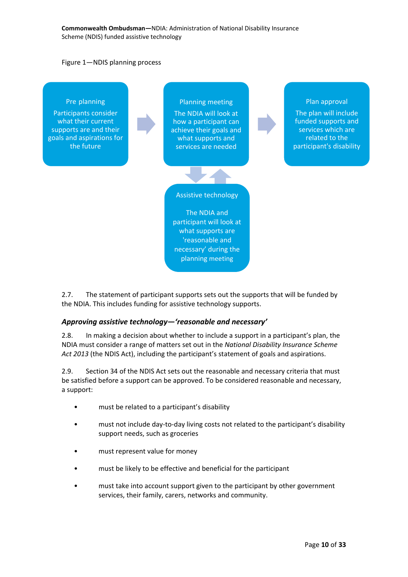#### Figure 1—NDIS planning process



2.7. The statement of participant supports sets out the supports that will be funded by the NDIA. This includes funding for assistive technology supports.

### <span id="page-9-0"></span>*Approving assistive technology—'reasonable and necessary'*

 2.8. In making a decision about whether to include a support in a participant's plan, the NDIA must consider a range of matters set out in the *National Disability Insurance Scheme Act 2013* (the NDIS Act), including the participant's statement of goals and aspirations.

 2.9. Section 34 of the NDIS Act sets out the reasonable and necessary criteria that must be satisfied before a support can be approved. To be considered reasonable and necessary, a support:

- must be related to a participant's disability
- must not include day-to-day living costs not related to the participant's disability support needs, such as groceries
- must represent value for money
- must be likely to be effective and beneficial for the participant
- • must take into account support given to the participant by other government services, their family, carers, networks and community.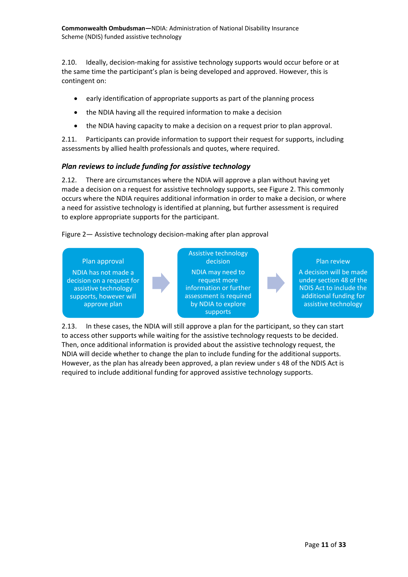**Commonwealth Ombudsman—**NDIA: Administration of National Disability Insurance Scheme (NDIS) funded assistive technology

 2.10. Ideally, decision-making for assistive technology supports would occur before or at contingent on: the same time the participant's plan is being developed and approved. However, this is

- early identification of appropriate supports as part of the planning process
- the NDIA having all the required information to make a decision
- the NDIA having capacity to make a decision on a request prior to plan approval.

 2.11. Participants can provide information to support their request for supports, including assessments by allied health professionals and quotes, where required.

#### <span id="page-10-0"></span>*Plan reviews to include funding for assistive technology*

 2.12. There are circumstances where the NDIA will approve a plan without having yet to explore appropriate supports for the participant. made a decision on a request for assistive technology supports, see Figure 2. This commonly occurs where the NDIA requires additional information in order to make a decision, or where a need for assistive technology is identified at planning, but further assessment is required

Figure 2— Assistive technology decision-making after plan approval



 2.13. In these cases, the NDIA will still approve a plan for the participant, so they can start to access other supports while waiting for the assistive technology requests to be decided. Then, once additional information is provided about the assistive technology request, the NDIA will decide whether to change the plan to include funding for the additional supports. However, as the plan has already been approved, a plan review under s 48 of the NDIS Act is required to include additional funding for approved assistive technology supports.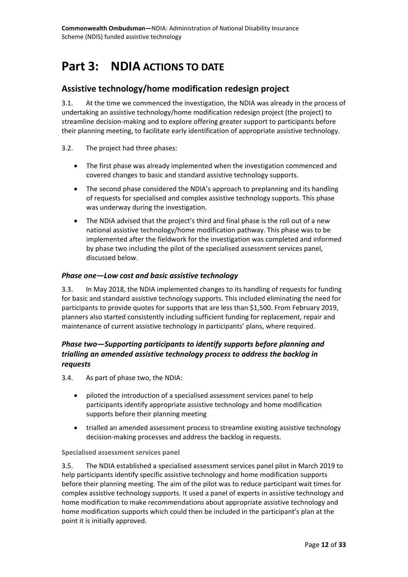# <span id="page-11-0"></span>**Part 3: NDIA ACTIONS TO DATE**

### <span id="page-11-1"></span>**Assistive technology/home modification redesign project**

 undertaking an assistive technology/home modification redesign project (the project) to 3.1. At the time we commenced the investigation, the NDIA was already in the process of streamline decision-making and to explore offering greater support to participants before their planning meeting, to facilitate early identification of appropriate assistive technology.

- 3.2. The project had three phases:
	- covered changes to basic and standard assistive technology supports. • The first phase was already implemented when the investigation commenced and
	- The second phase considered the NDIA's approach to preplanning and its handling of requests for specialised and complex assistive technology supports. This phase was underway during the investigation.
	- • The NDIA advised that the project's third and final phase is the roll out of a new national assistive technology/home modification pathway. This phase was to be implemented after the fieldwork for the investigation was completed and informed by phase two including the pilot of the specialised assessment services panel, discussed below.

### <span id="page-11-2"></span>*Phase one—Low cost and basic assistive technology*

 3.3. In May 2018, the NDIA implemented changes to its handling of requests for funding planners also started consistently including sufficient funding for replacement, repair and for basic and standard assistive technology supports. This included eliminating the need for participants to provide quotes for supports that are less than \$1,500. From February 2019, maintenance of current assistive technology in participants' plans, where required.

### <span id="page-11-3"></span>*Phase two—Supporting participants to identify supports before planning and trialling an amended assistive technology process to address the backlog in requests*

- 3.4. As part of phase two, the NDIA:
	- piloted the introduction of a specialised assessment services panel to help participants identify appropriate assistive technology and home modification supports before their planning meeting
	- trialled an amended assessment process to streamline existing assistive technology decision-making processes and address the backlog in requests.

### **Specialised assessment services panel**

 before their planning meeting. The aim of the pilot was to reduce participant wait times for 3.5. The NDIA established a specialised assessment services panel pilot in March 2019 to help participants identify specific assistive technology and home modification supports complex assistive technology supports. It used a panel of experts in assistive technology and home modification to make recommendations about appropriate assistive technology and home modification supports which could then be included in the participant's plan at the point it is initially approved.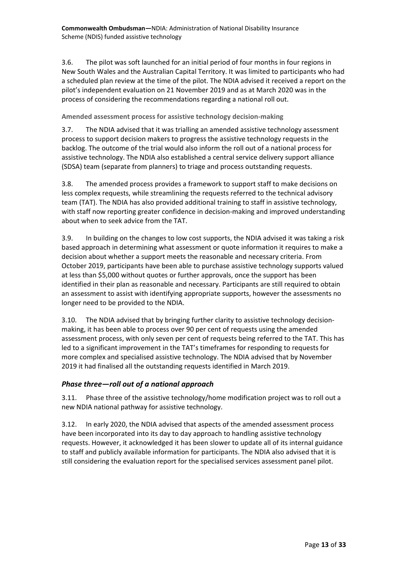New South Wales and the Australian Capital Territory. It was limited to participants who had pilot's independent evaluation on 21 November 2019 and as at March 2020 was in the process of considering the recommendations regarding a national roll out. 3.6. The pilot was soft launched for an initial period of four months in four regions in a scheduled plan review at the time of the pilot. The NDIA advised it received a report on the

**Amended assessment process for assistive technology decision-making** 

 assistive technology. The NDIA also established a central service delivery support alliance 3.7. The NDIA advised that it was trialling an amended assistive technology assessment process to support decision makers to progress the assistive technology requests in the backlog. The outcome of the trial would also inform the roll out of a national process for (SDSA) team (separate from planners) to triage and process outstanding requests.

 less complex requests, while streamlining the requests referred to the technical advisory 3.8. The amended process provides a framework to support staff to make decisions on team (TAT). The NDIA has also provided additional training to staff in assistive technology, with staff now reporting greater confidence in decision-making and improved understanding about when to seek advice from the TAT.

 decision about whether a support meets the reasonable and necessary criteria. From at less than \$5,000 without quotes or further approvals, once the support has been an assessment to assist with identifying appropriate supports, however the assessments no 3.9. In building on the changes to low cost supports, the NDIA advised it was taking a risk based approach in determining what assessment or quote information it requires to make a October 2019, participants have been able to purchase assistive technology supports valued identified in their plan as reasonable and necessary. Participants are still required to obtain longer need to be provided to the NDIA.

 making, it has been able to process over 90 per cent of requests using the amended assessment process, with only seven per cent of requests being referred to the TAT. This has more complex and specialised assistive technology. The NDIA advised that by November 3.10. The NDIA advised that by bringing further clarity to assistive technology decisionled to a significant improvement in the TAT's timeframes for responding to requests for 2019 it had finalised all the outstanding requests identified in March 2019.

### <span id="page-12-0"></span>*Phase three—roll out of a national approach*

3.11. Phase three of the assistive technology/home modification project was to roll out a new NDIA national pathway for assistive technology.

3.12. In early 2020, the NDIA advised that aspects of the amended assessment process have been incorporated into its day to day approach to handling assistive technology requests. However, it acknowledged it has been slower to update all of its internal guidance to staff and publicly available information for participants. The NDIA also advised that it is still considering the evaluation report for the specialised services assessment panel pilot.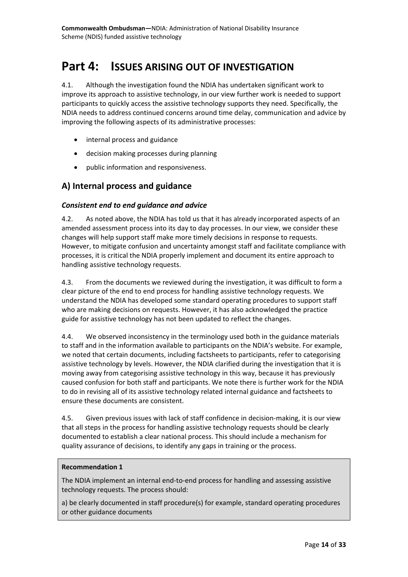# <span id="page-13-0"></span>**Part 4: ISSUES ARISING OUT OF INVESTIGATION**

 improve its approach to assistive technology, in our view further work is needed to support participants to quickly access the assistive technology supports they need. Specifically, the NDIA needs to address continued concerns around time delay, communication and advice by 4.1. Although the investigation found the NDIA has undertaken significant work to improving the following aspects of its administrative processes:

- internal process and guidance
- decision making processes during planning
- public information and responsiveness.

### <span id="page-13-1"></span> **A) Internal process and guidance**

### <span id="page-13-2"></span>*Consistent end to end guidance and advice*

 4.2. As noted above, the NDIA has told us that it has already incorporated aspects of an However, to mitigate confusion and uncertainty amongst staff and facilitate compliance with amended assessment process into its day to day processes. In our view, we consider these changes will help support staff make more timely decisions in response to requests. processes, it is critical the NDIA properly implement and document its entire approach to handling assistive technology requests.

 clear picture of the end to end process for handling assistive technology requests. We who are making decisions on requests. However, it has also acknowledged the practice guide for assistive technology has not been updated to reflect the changes. 4.3. From the documents we reviewed during the investigation, it was difficult to form a understand the NDIA has developed some standard operating procedures to support staff

 we noted that certain documents, including factsheets to participants, refer to categorising caused confusion for both staff and participants. We note there is further work for the NDIA ensure these documents are consistent. 4.4. We observed inconsistency in the terminology used both in the guidance materials to staff and in the information available to participants on the NDIA's website. For example, assistive technology by levels. However, the NDIA clarified during the investigation that it is moving away from categorising assistive technology in this way, because it has previously to do in revising all of its assistive technology related internal guidance and factsheets to

 that all steps in the process for handling assistive technology requests should be clearly 4.5. Given previous issues with lack of staff confidence in decision-making, it is our view documented to establish a clear national process. This should include a mechanism for quality assurance of decisions, to identify any gaps in training or the process.

### **Recommendation 1**

The NDIA implement an internal end-to-end process for handling and assessing assistive technology requests. The process should:

a) be clearly documented in staff procedure(s) for example, standard operating procedures or other guidance documents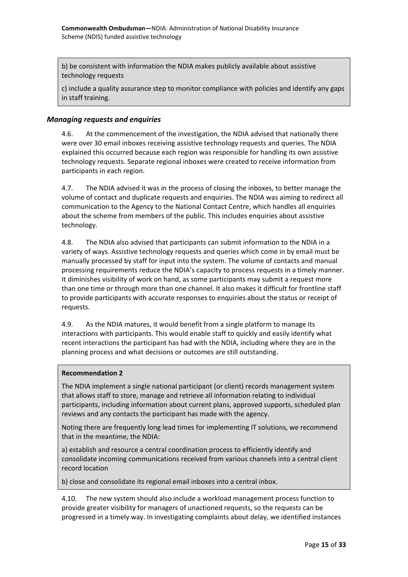b) be consistent with information the NDIA makes publicly available about assistive technology requests

 c) include a quality assurance step to monitor compliance with policies and identify any gaps in staff training.

### <span id="page-14-0"></span>*Managing requests and enquiries*

 4.6. At the commencement of the investigation, the NDIA advised that nationally there participants in each region. were over 30 email inboxes receiving assistive technology requests and queries. The NDIA explained this occurred because each region was responsible for handling its own assistive technology requests. Separate regional inboxes were created to receive information from

participants in each region.<br>4.7. The NDIA advised it was in the process of closing the inboxes, to better manage the communication to the Agency to the National Contact Centre, which handles all enquiries volume of contact and duplicate requests and enquiries. The NDIA was aiming to redirect all about the scheme from members of the public. This includes enquiries about assistive technology.

 manually processed by staff for input into the system. The volume of contacts and manual processing requirements reduce the NDIA's capacity to process requests in a timely manner. than one time or through more than one channel. It also makes it difficult for frontline staff 4.8. The NDIA also advised that participants can submit information to the NDIA in a variety of ways. Assistive technology requests and queries which come in by email must be It diminishes visibility of work on hand, as some participants may submit a request more to provide participants with accurate responses to enquiries about the status or receipt of requests.

 4.9. As the NDIA matures, it would benefit from a single platform to manage its interactions with participants. This would enable staff to quickly and easily identify what recent interactions the participant has had with the NDIA, including where they are in the planning process and what decisions or outcomes are still outstanding.

#### **Recommendation 2**

 The NDIA implement a single national participant (or client) records management system reviews and any contacts the participant has made with the agency. that allows staff to store, manage and retrieve all information relating to individual participants, including information about current plans, approved supports, scheduled plan

 that in the meantime, the NDIA: Noting there are frequently long lead times for implementing IT solutions, we recommend

a) establish and resource a central coordination process to efficiently identify and consolidate incoming communications received from various channels into a central client record location

b) close and consolidate its regional email inboxes into a central inbox.

 4.10. The new system should also include a workload management process function to provide greater visibility for managers of unactioned requests, so the requests can be progressed in a timely way. In investigating complaints about delay, we identified instances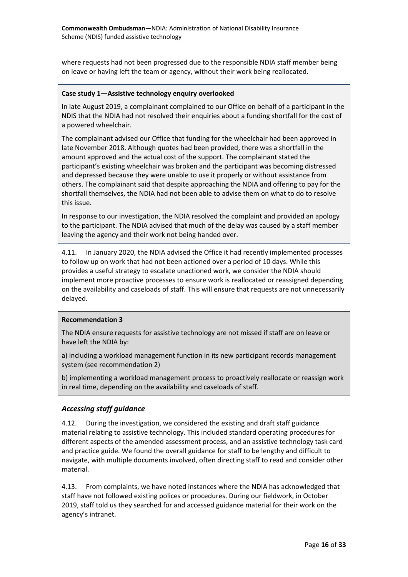on leave or having left the team or agency, without their work being reallocated. where requests had not been progressed due to the responsible NDIA staff member being

#### **Case study 1—Assistive technology enquiry overlooked**

 NDIS that the NDIA had not resolved their enquiries about a funding shortfall for the cost of In late August 2019, a complainant complained to our Office on behalf of a participant in the a powered wheelchair.

 late November 2018. Although quotes had been provided, there was a shortfall in the amount approved and the actual cost of the support. The complainant stated the The complainant advised our Office that funding for the wheelchair had been approved in participant's existing wheelchair was broken and the participant was becoming distressed and depressed because they were unable to use it properly or without assistance from others. The complainant said that despite approaching the NDIA and offering to pay for the shortfall themselves, the NDIA had not been able to advise them on what to do to resolve this issue.

In response to our investigation, the NDIA resolved the complaint and provided an apology to the participant. The NDIA advised that much of the delay was caused by a staff member leaving the agency and their work not being handed over.

 4.11. In January 2020, the NDIA advised the Office it had recently implemented processes delayed. to follow up on work that had not been actioned over a period of 10 days. While this provides a useful strategy to escalate unactioned work, we consider the NDIA should implement more proactive processes to ensure work is reallocated or reassigned depending on the availability and caseloads of staff. This will ensure that requests are not unnecessarily

#### **Recommendation 3**

The NDIA ensure requests for assistive technology are not missed if staff are on leave or have left the NDIA by:

a) including a workload management function in its new participant records management system (see recommendation 2)

b) implementing a workload management process to proactively reallocate or reassign work in real time, depending on the availability and caseloads of staff.

#### <span id="page-15-0"></span>*Accessing staff guidance*

 navigate, with multiple documents involved, often directing staff to read and consider other 4.12. During the investigation, we considered the existing and draft staff guidance material relating to assistive technology. This included standard operating procedures for different aspects of the amended assessment process, and an assistive technology task card and practice guide. We found the overall guidance for staff to be lengthy and difficult to material.

 staff have not followed existing polices or procedures. During our fieldwork, in October 2019, staff told us they searched for and accessed guidance material for their work on the 4.13. From complaints, we have noted instances where the NDIA has acknowledged that agency's intranet.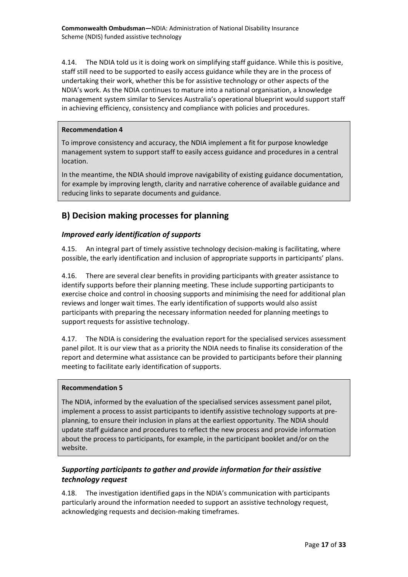4.14. The NDIA told us it is doing work on simplifying staff guidance. While this is positive, staff still need to be supported to easily access guidance while they are in the process of NDIA's work. As the NDIA continues to mature into a national organisation, a knowledge undertaking their work, whether this be for assistive technology or other aspects of the management system similar to Services Australia's operational blueprint would support staff in achieving efficiency, consistency and compliance with policies and procedures.

### **Recommendation 4**

To improve consistency and accuracy, the NDIA implement a fit for purpose knowledge management system to support staff to easily access guidance and procedures in a central location.

 for example by improving length, clarity and narrative coherence of available guidance and reducing links to separate documents and guidance. In the meantime, the NDIA should improve navigability of existing guidance documentation,

### <span id="page-16-0"></span>**B) Decision making processes for planning**

### <span id="page-16-1"></span>*Improved early identification of supports*

4.15. An integral part of timely assistive technology decision-making is facilitating, where possible, the early identification and inclusion of appropriate supports in participants' plans.

 4.16. There are several clear benefits in providing participants with greater assistance to exercise choice and control in choosing supports and minimising the need for additional plan participants with preparing the necessary information needed for planning meetings to identify supports before their planning meeting. These include supporting participants to reviews and longer wait times. The early identification of supports would also assist support requests for assistive technology.

 4.17. The NDIA is considering the evaluation report for the specialised services assessment panel pilot. It is our view that as a priority the NDIA needs to finalise its consideration of the meeting to facilitate early identification of supports. report and determine what assistance can be provided to participants before their planning

### **Recommendation 5**

 implement a process to assist participants to identify assistive technology supports at pre-The NDIA, informed by the evaluation of the specialised services assessment panel pilot, planning, to ensure their inclusion in plans at the earliest opportunity. The NDIA should update staff guidance and procedures to reflect the new process and provide information about the process to participants, for example, in the participant booklet and/or on the website.

### <span id="page-16-2"></span>*Supporting participants to gather and provide information for their assistive technology request*

 4.18. The investigation identified gaps in the NDIA's communication with participants particularly around the information needed to support an assistive technology request, acknowledging requests and decision-making timeframes.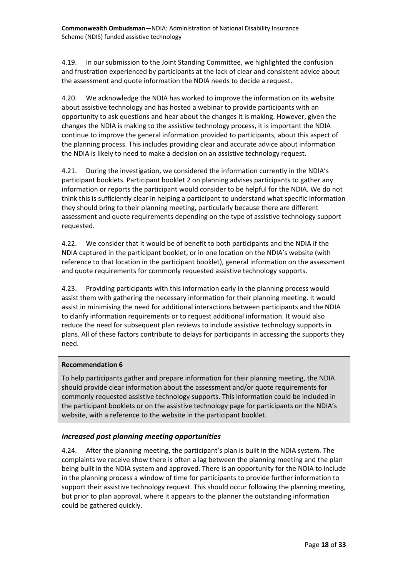4.19. In our submission to the Joint Standing Committee, we highlighted the confusion and frustration experienced by participants at the lack of clear and consistent advice about the assessment and quote information the NDIA needs to decide a request.

 opportunity to ask questions and hear about the changes it is making. However, given the changes the NDIA is making to the assistive technology process, it is important the NDIA the NDIA is likely to need to make a decision on an assistive technology request. 4.20. We acknowledge the NDIA has worked to improve the information on its website about assistive technology and has hosted a webinar to provide participants with an continue to improve the general information provided to participants, about this aspect of the planning process. This includes providing clear and accurate advice about information

 4.21. During the investigation, we considered the information currently in the NDIA's participant booklets. Participant booklet 2 on planning advises participants to gather any information or reports the participant would consider to be helpful for the NDIA. We do not think this is sufficiently clear in helping a participant to understand what specific information they should bring to their planning meeting, particularly because there are different assessment and quote requirements depending on the type of assistive technology support requested.

 reference to that location in the participant booklet), general information on the assessment 4.22. We consider that it would be of benefit to both participants and the NDIA if the NDIA captured in the participant booklet, or in one location on the NDIA's website (with and quote requirements for commonly requested assistive technology supports.

 to clarify information requirements or to request additional information. It would also plans. All of these factors contribute to delays for participants in accessing the supports they 4.23. Providing participants with this information early in the planning process would assist them with gathering the necessary information for their planning meeting. It would assist in minimising the need for additional interactions between participants and the NDIA reduce the need for subsequent plan reviews to include assistive technology supports in need.

### **Recommendation 6**

 To help participants gather and prepare information for their planning meeting, the NDIA should provide clear information about the assessment and/or quote requirements for commonly requested assistive technology supports. This information could be included in the participant booklets or on the assistive technology page for participants on the NDIA's website, with a reference to the website in the participant booklet.

### <span id="page-17-0"></span>*Increased post planning meeting opportunities*

 4.24. After the planning meeting, the participant's plan is built in the NDIA system. The complaints we receive show there is often a lag between the planning meeting and the plan support their assistive technology request. This should occur following the planning meeting, but prior to plan approval, where it appears to the planner the outstanding information could be gathered quickly. being built in the NDIA system and approved. There is an opportunity for the NDIA to include in the planning process a window of time for participants to provide further information to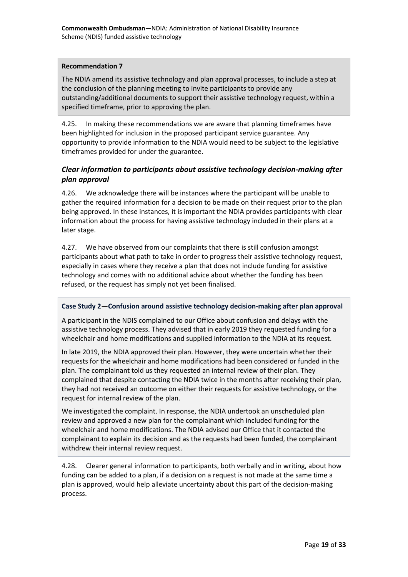### **Recommendation 7**

 the conclusion of the planning meeting to invite participants to provide any The NDIA amend its assistive technology and plan approval processes, to include a step at outstanding/additional documents to support their assistive technology request, within a specified timeframe, prior to approving the plan.

 opportunity to provide information to the NDIA would need to be subject to the legislative timeframes provided for under the guarantee. 4.25. In making these recommendations we are aware that planning timeframes have been highlighted for inclusion in the proposed participant service guarantee. Any

### <span id="page-18-0"></span>*Clear information to participants about assistive technology decision-making after plan approval*

 4.26. We acknowledge there will be instances where the participant will be unable to being approved. In these instances, it is important the NDIA provides participants with clear gather the required information for a decision to be made on their request prior to the plan information about the process for having assistive technology included in their plans at a later stage.

 participants about what path to take in order to progress their assistive technology request, 4.27. We have observed from our complaints that there is still confusion amongst especially in cases where they receive a plan that does not include funding for assistive technology and comes with no additional advice about whether the funding has been refused, or the request has simply not yet been finalised.

### **Case Study 2—Confusion around assistive technology decision-making after plan approval**

 A participant in the NDIS complained to our Office about confusion and delays with the wheelchair and home modifications and supplied information to the NDIA at its request. assistive technology process. They advised that in early 2019 they requested funding for a

 plan. The complainant told us they requested an internal review of their plan. They they had not received an outcome on either their requests for assistive technology, or the In late 2019, the NDIA approved their plan. However, they were uncertain whether their requests for the wheelchair and home modifications had been considered or funded in the complained that despite contacting the NDIA twice in the months after receiving their plan, request for internal review of the plan.

 complainant to explain its decision and as the requests had been funded, the complainant withdrew their internal review request. We investigated the complaint. In response, the NDIA undertook an unscheduled plan review and approved a new plan for the complainant which included funding for the wheelchair and home modifications. The NDIA advised our Office that it contacted the

 funding can be added to a plan, if a decision on a request is not made at the same time a 4.28. Clearer general information to participants, both verbally and in writing, about how plan is approved, would help alleviate uncertainty about this part of the decision-making process.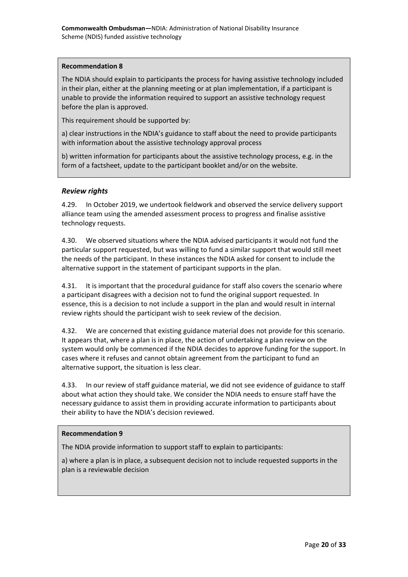#### **Recommendation 8**

 in their plan, either at the planning meeting or at plan implementation, if a participant is The NDIA should explain to participants the process for having assistive technology included unable to provide the information required to support an assistive technology request before the plan is approved.

This requirement should be supported by:

 a) clear instructions in the NDIA's guidance to staff about the need to provide participants with information about the assistive technology approval process

 b) written information for participants about the assistive technology process, e.g. in the form of a factsheet, update to the participant booklet and/or on the website.

### <span id="page-19-0"></span>*Review rights*

 4.29. In October 2019, we undertook fieldwork and observed the service delivery support alliance team using the amended assessment process to progress and finalise assistive technology requests.

 4.30. We observed situations where the NDIA advised participants it would not fund the particular support requested, but was willing to fund a similar support that would still meet the needs of the participant. In these instances the NDIA asked for consent to include the alternative support in the statement of participant supports in the plan.

 a participant disagrees with a decision not to fund the original support requested. In review rights should the participant wish to seek review of the decision. 4.31. It is important that the procedural guidance for staff also covers the scenario where essence, this is a decision to not include a support in the plan and would result in internal

alternative support, the situation is less clear. 4.32. We are concerned that existing guidance material does not provide for this scenario. It appears that, where a plan is in place, the action of undertaking a plan review on the system would only be commenced if the NDIA decides to approve funding for the support. In cases where it refuses and cannot obtain agreement from the participant to fund an

alternative support, the situation is less clear.<br>4.33. In our review of staff guidance material, we did not see evidence of guidance to staff about what action they should take. We consider the NDIA needs to ensure staff have the necessary guidance to assist them in providing accurate information to participants about their ability to have the NDIA's decision reviewed.

### **Recommendation 9**

The NDIA provide information to support staff to explain to participants:

a) where a plan is in place, a subsequent decision not to include requested supports in the plan is a reviewable decision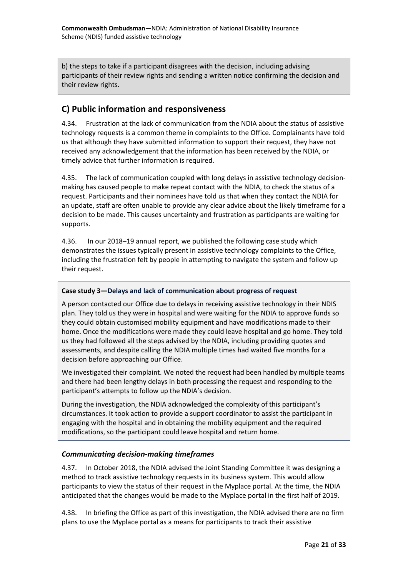b) the steps to take if a participant disagrees with the decision, including advising participants of their review rights and sending a written notice confirming the decision and their review rights.

### <span id="page-20-0"></span>**C) Public information and responsiveness**

4.34. Frustration at the lack of communication from the NDIA about the status of assistive technology requests is a common theme in complaints to the Office. Complainants have told us that although they have submitted information to support their request, they have not received any acknowledgement that the information has been received by the NDIA, or timely advice that further information is required.

 making has caused people to make repeat contact with the NDIA, to check the status of a an update, staff are often unable to provide any clear advice about the likely timeframe for a 4.35. The lack of communication coupled with long delays in assistive technology decisionrequest. Participants and their nominees have told us that when they contact the NDIA for decision to be made. This causes uncertainty and frustration as participants are waiting for supports.

 demonstrates the issues typically present in assistive technology complaints to the Office, their request. 4.36. In our 2018–19 annual report, we published the following case study which including the frustration felt by people in attempting to navigate the system and follow up

### **Case study 3—Delays and lack of communication about progress of request**

 A person contacted our Office due to delays in receiving assistive technology in their NDIS plan. They told us they were in hospital and were waiting for the NDIA to approve funds so decision before approaching our Office. they could obtain customised mobility equipment and have modifications made to their home. Once the modifications were made they could leave hospital and go home. They told us they had followed all the steps advised by the NDIA, including providing quotes and assessments, and despite calling the NDIA multiple times had waited five months for a

 participant's attempts to follow up the NDIA's decision. We investigated their complaint. We noted the request had been handled by multiple teams and there had been lengthy delays in both processing the request and responding to the

 modifications, so the participant could leave hospital and return home. During the investigation, the NDIA acknowledged the complexity of this participant's circumstances. It took action to provide a support coordinator to assist the participant in engaging with the hospital and in obtaining the mobility equipment and the required

### <span id="page-20-1"></span>*Communicating decision-making timeframes*

 anticipated that the changes would be made to the Myplace portal in the first half of 2019. 4.37. In October 2018, the NDIA advised the Joint Standing Committee it was designing a method to track assistive technology requests in its business system. This would allow participants to view the status of their request in the Myplace portal. At the time, the NDIA

 plans to use the Myplace portal as a means for participants to track their assistive 4.38. In briefing the Office as part of this investigation, the NDIA advised there are no firm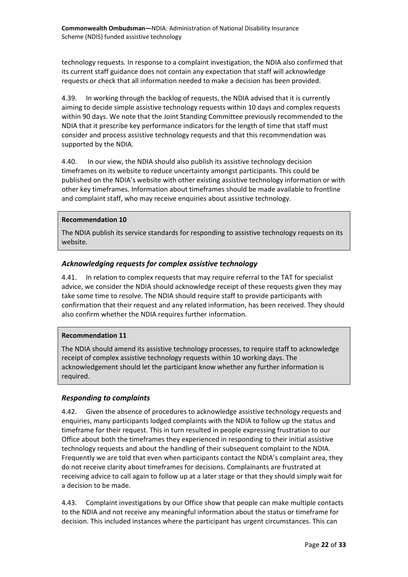requests or check that all information needed to make a decision has been provided. technology requests. In response to a complaint investigation, the NDIA also confirmed that its current staff guidance does not contain any expectation that staff will acknowledge

 4.39. In working through the backlog of requests, the NDIA advised that it is currently within 90 days. We note that the Joint Standing Committee previously recommended to the aiming to decide simple assistive technology requests within 10 days and complex requests NDIA that it prescribe key performance indicators for the length of time that staff must consider and process assistive technology requests and that this recommendation was supported by the NDIA.

 published on the NDIA's website with other existing assistive technology information or with and complaint staff, who may receive enquiries about assistive technology. 4.40. In our view, the NDIA should also publish its assistive technology decision timeframes on its website to reduce uncertainty amongst participants. This could be other key timeframes. Information about timeframes should be made available to frontline

#### **Recommendation 10**

The NDIA publish its service standards for responding to assistive technology requests on its website.

### <span id="page-21-0"></span>*Acknowledging requests for complex assistive technology*

 advice, we consider the NDIA should acknowledge receipt of these requests given they may confirmation that their request and any related information, has been received. They should 4.41. In relation to complex requests that may require referral to the TAT for specialist take some time to resolve. The NDIA should require staff to provide participants with also confirm whether the NDIA requires further information.

### **Recommendation 11**

The NDIA should amend its assistive technology processes, to require staff to acknowledge receipt of complex assistive technology requests within 10 working days. The acknowledgement should let the participant know whether any further information is required.

### <span id="page-21-1"></span>*Responding to complaints*

 Office about both the timeframes they experienced in responding to their initial assistive technology requests and about the handling of their subsequent complaint to the NDIA. Frequently we are told that even when participants contact the NDIA's complaint area, they receiving advice to call again to follow up at a later stage or that they should simply wait for 4.42. Given the absence of procedures to acknowledge assistive technology requests and enquiries, many participants lodged complaints with the NDIA to follow up the status and timeframe for their request. This in turn resulted in people expressing frustration to our do not receive clarity about timeframes for decisions. Complainants are frustrated at a decision to be made.

 to the NDIA and not receive any meaningful information about the status or timeframe for 4.43. Complaint investigations by our Office show that people can make multiple contacts decision. This included instances where the participant has urgent circumstances. This can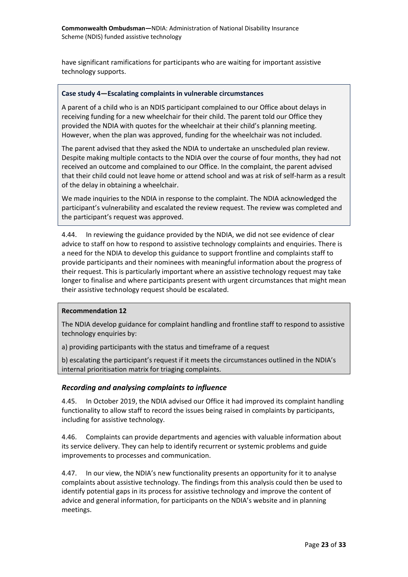have significant ramifications for participants who are waiting for important assistive technology supports.

#### **Case study 4—Escalating complaints in vulnerable circumstances**

 A parent of a child who is an NDIS participant complained to our Office about delays in receiving funding for a new wheelchair for their child. The parent told our Office they provided the NDIA with quotes for the wheelchair at their child's planning meeting. However, when the plan was approved, funding for the wheelchair was not included.

 Despite making multiple contacts to the NDIA over the course of four months, they had not The parent advised that they asked the NDIA to undertake an unscheduled plan review. received an outcome and complained to our Office. In the complaint, the parent advised that their child could not leave home or attend school and was at risk of self-harm as a result of the delay in obtaining a wheelchair.

 We made inquiries to the NDIA in response to the complaint. The NDIA acknowledged the participant's vulnerability and escalated the review request. The review was completed and the participant's request was approved.

 a need for the NDIA to develop this guidance to support frontline and complaints staff to their request. This is particularly important where an assistive technology request may take 4.44. In reviewing the guidance provided by the NDIA, we did not see evidence of clear advice to staff on how to respond to assistive technology complaints and enquiries. There is provide participants and their nominees with meaningful information about the progress of longer to finalise and where participants present with urgent circumstances that might mean their assistive technology request should be escalated.

#### **Recommendation 12**

The NDIA develop guidance for complaint handling and frontline staff to respond to assistive technology enquiries by:

a) providing participants with the status and timeframe of a request

b) escalating the participant's request if it meets the circumstances outlined in the NDIA's internal prioritisation matrix for triaging complaints.

#### <span id="page-22-0"></span>*Recording and analysing complaints to influence*

 4.45. In October 2019, the NDIA advised our Office it had improved its complaint handling functionality to allow staff to record the issues being raised in complaints by participants, including for assistive technology.

 4.46. Complaints can provide departments and agencies with valuable information about its service delivery. They can help to identify recurrent or systemic problems and guide improvements to processes and communication.

 complaints about assistive technology. The findings from this analysis could then be used to advice and general information, for participants on the NDIA's website and in planning 4.47. In our view, the NDIA's new functionality presents an opportunity for it to analyse identify potential gaps in its process for assistive technology and improve the content of meetings.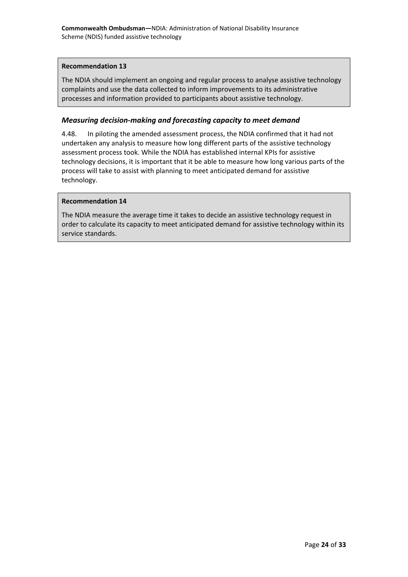#### **Recommendation 13**

The NDIA should implement an ongoing and regular process to analyse assistive technology complaints and use the data collected to inform improvements to its administrative processes and information provided to participants about assistive technology.

### <span id="page-23-0"></span>*Measuring decision-making and forecasting capacity to meet demand*

 4.48. In piloting the amended assessment process, the NDIA confirmed that it had not assessment process took. While the NDIA has established internal KPIs for assistive undertaken any analysis to measure how long different parts of the assistive technology technology decisions, it is important that it be able to measure how long various parts of the process will take to assist with planning to meet anticipated demand for assistive technology.

#### **Recommendation 14**

 order to calculate its capacity to meet anticipated demand for assistive technology within its The NDIA measure the average time it takes to decide an assistive technology request in service standards.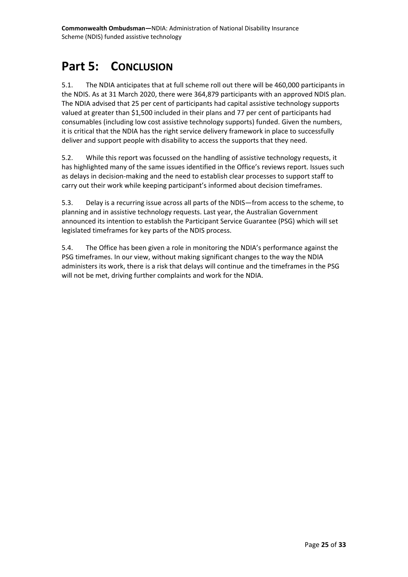# <span id="page-24-0"></span>**Part 5: CONCLUSION**

 the NDIS. As at 31 March 2020, there were 364,879 participants with an approved NDIS plan. valued at greater than \$1,500 included in their plans and 77 per cent of participants had it is critical that the NDIA has the right service delivery framework in place to successfully 5.1. The NDIA anticipates that at full scheme roll out there will be 460,000 participants in The NDIA advised that 25 per cent of participants had capital assistive technology supports consumables (including low cost assistive technology supports) funded. Given the numbers, deliver and support people with disability to access the supports that they need.

 as delays in decision-making and the need to establish clear processes to support staff to 5.2. While this report was focussed on the handling of assistive technology requests, it has highlighted many of the same issues identified in the Office's reviews report. Issues such carry out their work while keeping participant's informed about decision timeframes.

 announced its intention to establish the Participant Service Guarantee (PSG) which will set 5.3. Delay is a recurring issue across all parts of the NDIS—from access to the scheme, to planning and in assistive technology requests. Last year, the Australian Government legislated timeframes for key parts of the NDIS process.

 5.4. The Office has been given a role in monitoring the NDIA's performance against the PSG timeframes. In our view, without making significant changes to the way the NDIA administers its work, there is a risk that delays will continue and the timeframes in the PSG will not be met, driving further complaints and work for the NDIA.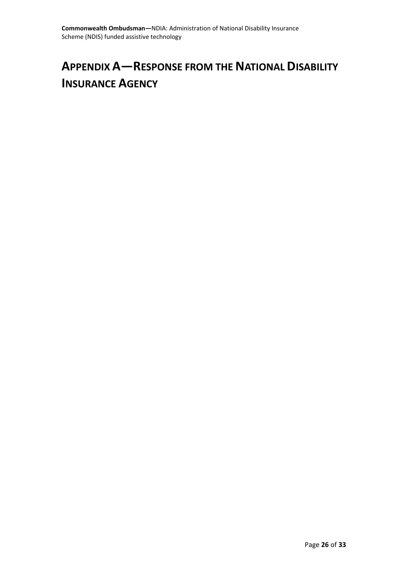# <span id="page-25-0"></span>**APPENDIX A—RESPONSE FROM THE NATIONAL DISABILITY INSURANCE AGENCY**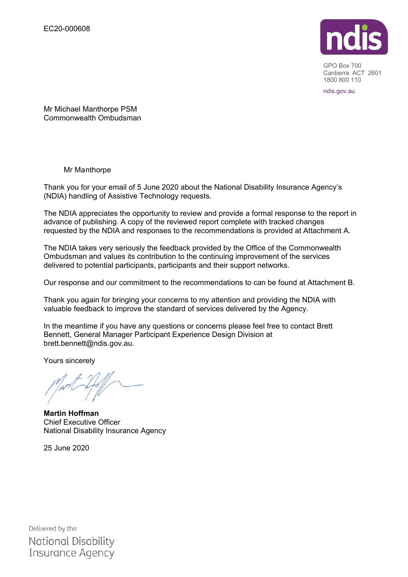

 GPO Box 700 Canberra ACT 2601 1800 800 110

ndis.gov.au

Mr Michael Manthorpe PSM Commonwealth Ombudsman

Mr Manthorpe

Thank you for your email of 5 June 2020 about the National Disability Insurance Agency's (NDIA) handling of Assistive Technology requests.

The NDIA appreciates the opportunity to review and provide a formal response to the report in advance of publishing. A copy of the reviewed report complete with tracked changes requested by the NDIA and responses to the recommendations is provided at Attachment A.

The NDIA takes very seriously the feedback provided by the Office of the Commonwealth Ombudsman and values its contribution to the continuing improvement of the services delivered to potential participants, participants and their support networks.

Our response and our commitment to the recommendations to can be found at Attachment B.

Thank you again for bringing your concerns to my attention and providing the NDIA with valuable feedback to improve the standard of services delivered by the Agency.

In the meantime if you have any questions or concerns please feel free to contact Brett Bennett, General Manager Participant Experience Design Division at brett.bennett@ndis.gov.au.

Yours sincerely

**Martin Hoffman**  Chief Executive Officer National Disability Insurance Agency

25 June 2020

Delivered by the National Disability Insurance Agency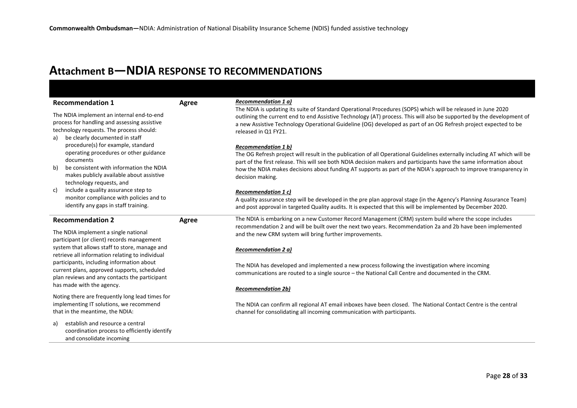# **Attachment B—NDIA RESPONSE TO RECOMMENDATIONS**

| <b>Recommendation 1</b>                                                                                                                                                                                            | Agree | <b>Recommendation 1 a)</b>                                                                                                                                                                                                                                                                                                                                                                                             |
|--------------------------------------------------------------------------------------------------------------------------------------------------------------------------------------------------------------------|-------|------------------------------------------------------------------------------------------------------------------------------------------------------------------------------------------------------------------------------------------------------------------------------------------------------------------------------------------------------------------------------------------------------------------------|
| The NDIA implement an internal end-to-end<br>process for handling and assessing assistive<br>technology requests. The process should:<br>a) be clearly documented in staff                                         |       | The NDIA is updating its suite of Standard Operational Procedures (SOPS) which will be released in June 2020<br>outlining the current end to end Assistive Technology (AT) process. This will also be supported by the development of<br>a new Assistive Technology Operational Guideline (OG) developed as part of an OG Refresh project expected to be<br>released in Q1 FY21.                                       |
| procedure(s) for example, standard<br>operating procedures or other guidance<br>documents<br>be consistent with information the NDIA<br>b)<br>makes publicly available about assistive<br>technology requests, and |       | <b>Recommendation 1 b)</b><br>The OG Refresh project will result in the publication of all Operational Guidelines externally including AT which will be<br>part of the first release. This will see both NDIA decision makers and participants have the same information about<br>how the NDIA makes decisions about funding AT supports as part of the NDIA's approach to improve transparency in<br>decision making. |
| include a quality assurance step to<br>c)<br>monitor compliance with policies and to<br>identify any gaps in staff training.                                                                                       |       | Recommendation 1 c)<br>A quality assurance step will be developed in the pre plan approval stage (in the Agency's Planning Assurance Team)<br>and post approval in targeted Quality audits. It is expected that this will be implemented by December 2020.                                                                                                                                                             |
| <b>Recommendation 2</b>                                                                                                                                                                                            | Agree | The NDIA is embarking on a new Customer Record Management (CRM) system build where the scope includes<br>recommendation 2 and will be built over the next two years. Recommendation 2a and 2b have been implemented                                                                                                                                                                                                    |
| The NDIA implement a single national<br>participant (or client) records management                                                                                                                                 |       | and the new CRM system will bring further improvements.                                                                                                                                                                                                                                                                                                                                                                |
| system that allows staff to store, manage and<br>retrieve all information relating to individual                                                                                                                   |       | <b>Recommendation 2 a)</b>                                                                                                                                                                                                                                                                                                                                                                                             |
| participants, including information about<br>current plans, approved supports, scheduled<br>plan reviews and any contacts the participant                                                                          |       | The NDIA has developed and implemented a new process following the investigation where incoming<br>communications are routed to a single source - the National Call Centre and documented in the CRM.                                                                                                                                                                                                                  |
| has made with the agency.                                                                                                                                                                                          |       | <b>Recommendation 2b)</b>                                                                                                                                                                                                                                                                                                                                                                                              |
| Noting there are frequently long lead times for<br>implementing IT solutions, we recommend<br>that in the meantime, the NDIA:                                                                                      |       | The NDIA can confirm all regional AT email inboxes have been closed. The National Contact Centre is the central<br>channel for consolidating all incoming communication with participants.                                                                                                                                                                                                                             |
| establish and resource a central<br>a)<br>coordination process to efficiently identify<br>and consolidate incoming                                                                                                 |       |                                                                                                                                                                                                                                                                                                                                                                                                                        |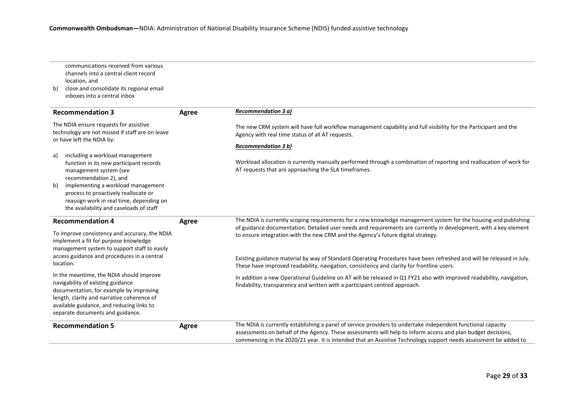| b)       | communications received from various<br>channels into a central client record<br>location, and<br>close and consolidate its regional email<br>inboxes into a central inbox                                                                                                                          |       |                                                                                                                                                                                                                                                                                                                                                  |
|----------|-----------------------------------------------------------------------------------------------------------------------------------------------------------------------------------------------------------------------------------------------------------------------------------------------------|-------|--------------------------------------------------------------------------------------------------------------------------------------------------------------------------------------------------------------------------------------------------------------------------------------------------------------------------------------------------|
|          | <b>Recommendation 3</b>                                                                                                                                                                                                                                                                             | Agree | <b>Recommendation 3 a)</b>                                                                                                                                                                                                                                                                                                                       |
|          | The NDIA ensure requests for assistive<br>technology are not missed if staff are on leave<br>or have left the NDIA by:                                                                                                                                                                              |       | The new CRM system will have full workflow management capability and full visibility for the Participant and the<br>Agency with real time status of all AT requests.                                                                                                                                                                             |
|          |                                                                                                                                                                                                                                                                                                     |       | <b>Recommendation 3 b)</b>                                                                                                                                                                                                                                                                                                                       |
| a)<br>b) | including a workload management<br>function in its new participant records<br>management system (see<br>recommendation 2), and<br>implementing a workload management<br>process to proactively reallocate or<br>reassign work in real time, depending on<br>the availability and caseloads of staff |       | Workload allocation is currently manually performed through a combination of reporting and reallocation of work for<br>AT requests that are approaching the SLA timeframes.                                                                                                                                                                      |
|          | <b>Recommendation 4</b>                                                                                                                                                                                                                                                                             | Agree | The NDIA is currently scoping requirements for a new knowledge management system for the housing and publishing                                                                                                                                                                                                                                  |
|          | To improve consistency and accuracy, the NDIA<br>implement a fit for purpose knowledge<br>management system to support staff to easily                                                                                                                                                              |       | of guidance documentation. Detailed user needs and requirements are currently in development, with a key element<br>to ensure integration with the new CRM and the Agency's future digital strategy.                                                                                                                                             |
|          | access guidance and procedures in a central<br>location.                                                                                                                                                                                                                                            |       | Existing guidance material by way of Standard Operating Procedures have been refreshed and will be released in July.<br>These have improved readability, navigation, consistency and clarity for frontline users.                                                                                                                                |
|          | In the meantime, the NDIA should improve<br>navigability of existing guidance<br>documentation, for example by improving<br>length, clarity and narrative coherence of<br>available guidance, and reducing links to<br>separate documents and guidance.                                             |       | In addition a new Operational Guideline on AT will be released in Q1 FY21 also with improved readability, navigation,<br>findability, transparency and written with a participant centred approach.                                                                                                                                              |
|          | <b>Recommendation 5</b>                                                                                                                                                                                                                                                                             | Agree | The NDIA is currently establishing a panel of service providers to undertake independent functional capacity<br>assessments on behalf of the Agency. These assessments will help to inform access and plan budget decisions,<br>commencing in the 2020/21 year. It is intended that an Assistive Technology support needs assessment be added to |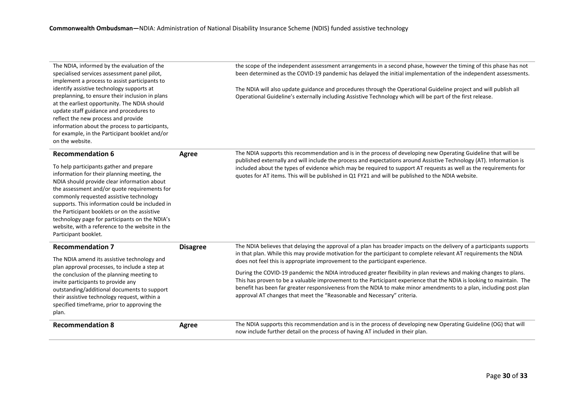| The NDIA, informed by the evaluation of the<br>specialised services assessment panel pilot,<br>implement a process to assist participants to                                                                                                                                                                                                                                                                                                                     |                 | the scope of the independent assessment arrangements in a second phase, however the timing of this phase has not<br>been determined as the COVID-19 pandemic has delayed the initial implementation of the independent assessments.                                                                                                                                                                                                                                                                                      |
|------------------------------------------------------------------------------------------------------------------------------------------------------------------------------------------------------------------------------------------------------------------------------------------------------------------------------------------------------------------------------------------------------------------------------------------------------------------|-----------------|--------------------------------------------------------------------------------------------------------------------------------------------------------------------------------------------------------------------------------------------------------------------------------------------------------------------------------------------------------------------------------------------------------------------------------------------------------------------------------------------------------------------------|
| identify assistive technology supports at<br>preplanning, to ensure their inclusion in plans<br>at the earliest opportunity. The NDIA should<br>update staff guidance and procedures to<br>reflect the new process and provide<br>information about the process to participants,<br>for example, in the Participant booklet and/or<br>on the website.                                                                                                            |                 | The NDIA will also update guidance and procedures through the Operational Guideline project and will publish all<br>Operational Guideline's externally including Assistive Technology which will be part of the first release.                                                                                                                                                                                                                                                                                           |
| <b>Recommendation 6</b>                                                                                                                                                                                                                                                                                                                                                                                                                                          | Agree           | The NDIA supports this recommendation and is in the process of developing new Operating Guideline that will be<br>published externally and will include the process and expectations around Assistive Technology (AT). Information is                                                                                                                                                                                                                                                                                    |
| To help participants gather and prepare<br>information for their planning meeting, the<br>NDIA should provide clear information about<br>the assessment and/or quote requirements for<br>commonly requested assistive technology<br>supports. This information could be included in<br>the Participant booklets or on the assistive<br>technology page for participants on the NDIA's<br>website, with a reference to the website in the<br>Participant booklet. |                 | included about the types of evidence which may be required to support AT requests as well as the requirements for<br>quotes for AT items. This will be published in Q1 FY21 and will be published to the NDIA website.                                                                                                                                                                                                                                                                                                   |
| <b>Recommendation 7</b><br>The NDIA amend its assistive technology and                                                                                                                                                                                                                                                                                                                                                                                           | <b>Disagree</b> | The NDIA believes that delaying the approval of a plan has broader impacts on the delivery of a participants supports<br>in that plan. While this may provide motivation for the participant to complete relevant AT requirements the NDIA                                                                                                                                                                                                                                                                               |
| plan approval processes, to include a step at<br>the conclusion of the planning meeting to<br>invite participants to provide any<br>outstanding/additional documents to support<br>their assistive technology request, within a<br>specified timeframe, prior to approving the<br>plan.                                                                                                                                                                          |                 | does not feel this is appropriate improvement to the participant experience.<br>During the COVID-19 pandemic the NDIA introduced greater flexibility in plan reviews and making changes to plans.<br>This has proven to be a valuable improvement to the Participant experience that the NDIA is looking to maintain. The<br>benefit has been far greater responsiveness from the NDIA to make minor amendments to a plan, including post plan<br>approval AT changes that meet the "Reasonable and Necessary" criteria. |
| <b>Recommendation 8</b>                                                                                                                                                                                                                                                                                                                                                                                                                                          | Agree           | The NDIA supports this recommendation and is in the process of developing new Operating Guideline (OG) that will<br>now include further detail on the process of having AT included in their plan.                                                                                                                                                                                                                                                                                                                       |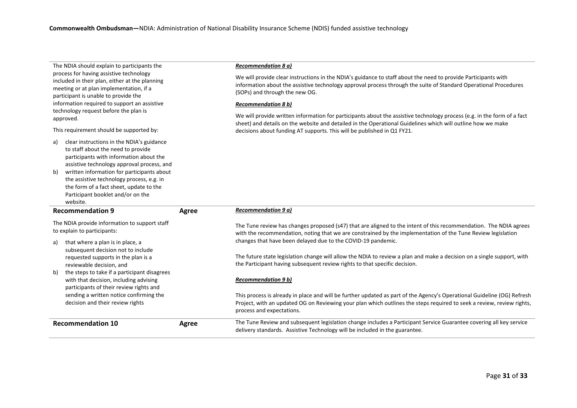| The NDIA should explain to participants the<br>process for having assistive technology<br>included in their plan, either at the planning<br>meeting or at plan implementation, if a<br>participant is unable to provide the<br>information required to support an assistive<br>technology request before the plan is<br>approved.<br>This requirement should be supported by:<br>clear instructions in the NDIA's guidance<br>a)<br>to staff about the need to provide<br>participants with information about the<br>assistive technology approval process, and |       | Recommendation 8 a)<br>We will provide clear instructions in the NDIA's guidance to staff about the need to provide Participants with<br>information about the assistive technology approval process through the suite of Standard Operational Procedures<br>(SOPs) and through the new OG.<br><b>Recommendation 8 b)</b><br>We will provide written information for participants about the assistive technology process (e.g. in the form of a fact<br>sheet) and details on the website and detailed in the Operational Guidelines which will outline how we make<br>decisions about funding AT supports. This will be published in Q1 FY21. |
|-----------------------------------------------------------------------------------------------------------------------------------------------------------------------------------------------------------------------------------------------------------------------------------------------------------------------------------------------------------------------------------------------------------------------------------------------------------------------------------------------------------------------------------------------------------------|-------|------------------------------------------------------------------------------------------------------------------------------------------------------------------------------------------------------------------------------------------------------------------------------------------------------------------------------------------------------------------------------------------------------------------------------------------------------------------------------------------------------------------------------------------------------------------------------------------------------------------------------------------------|
| written information for participants about<br>b)<br>the assistive technology process, e.g. in<br>the form of a fact sheet, update to the<br>Participant booklet and/or on the<br>website.                                                                                                                                                                                                                                                                                                                                                                       |       |                                                                                                                                                                                                                                                                                                                                                                                                                                                                                                                                                                                                                                                |
| <b>Recommendation 9</b>                                                                                                                                                                                                                                                                                                                                                                                                                                                                                                                                         | Agree | <b>Recommendation 9 a)</b>                                                                                                                                                                                                                                                                                                                                                                                                                                                                                                                                                                                                                     |
| The NDIA provide information to support staff<br>to explain to participants:                                                                                                                                                                                                                                                                                                                                                                                                                                                                                    |       | The Tune review has changes proposed (s47) that are aligned to the intent of this recommendation. The NDIA agrees                                                                                                                                                                                                                                                                                                                                                                                                                                                                                                                              |
|                                                                                                                                                                                                                                                                                                                                                                                                                                                                                                                                                                 |       | with the recommendation, noting that we are constrained by the implementation of the Tune Review legislation                                                                                                                                                                                                                                                                                                                                                                                                                                                                                                                                   |
| that where a plan is in place, a<br>a)<br>subsequent decision not to include<br>requested supports in the plan is a<br>reviewable decision, and                                                                                                                                                                                                                                                                                                                                                                                                                 |       | changes that have been delayed due to the COVID-19 pandemic.<br>The future state legislation change will allow the NDIA to review a plan and make a decision on a single support, with<br>the Participant having subsequent review rights to that specific decision.                                                                                                                                                                                                                                                                                                                                                                           |
| the steps to take if a participant disagrees<br>b)<br>with that decision, including advising<br>participants of their review rights and                                                                                                                                                                                                                                                                                                                                                                                                                         |       | <b>Recommendation 9 b)</b>                                                                                                                                                                                                                                                                                                                                                                                                                                                                                                                                                                                                                     |
| sending a written notice confirming the<br>decision and their review rights                                                                                                                                                                                                                                                                                                                                                                                                                                                                                     |       | This process is already in place and will be further updated as part of the Agency's Operational Guideline (OG) Refresh<br>Project, with an updated OG on Reviewing your plan which outlines the steps required to seek a review, review rights,<br>process and expectations.                                                                                                                                                                                                                                                                                                                                                                  |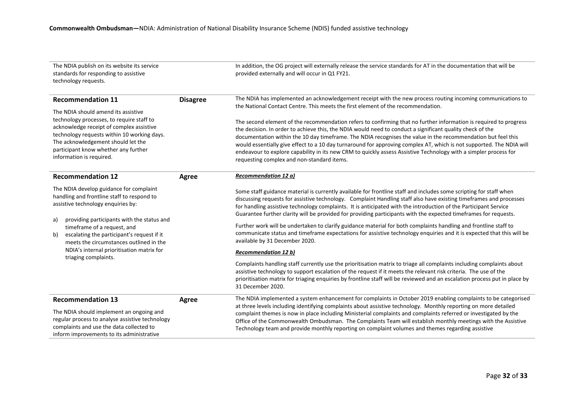| The NDIA publish on its website its service<br>standards for responding to assistive<br>technology requests.                                                                                                                                                                                                                                                                       |                 | In addition, the OG project will externally release the service standards for AT in the documentation that will be<br>provided externally and will occur in Q1 FY21.                                                                                                                                                                                                                                                                                                                                                                                                                                                                                                                                                                                                                                                                                                                                                                                                                                                                                                                                                                                                                           |
|------------------------------------------------------------------------------------------------------------------------------------------------------------------------------------------------------------------------------------------------------------------------------------------------------------------------------------------------------------------------------------|-----------------|------------------------------------------------------------------------------------------------------------------------------------------------------------------------------------------------------------------------------------------------------------------------------------------------------------------------------------------------------------------------------------------------------------------------------------------------------------------------------------------------------------------------------------------------------------------------------------------------------------------------------------------------------------------------------------------------------------------------------------------------------------------------------------------------------------------------------------------------------------------------------------------------------------------------------------------------------------------------------------------------------------------------------------------------------------------------------------------------------------------------------------------------------------------------------------------------|
| <b>Recommendation 11</b><br>The NDIA should amend its assistive<br>technology processes, to require staff to<br>acknowledge receipt of complex assistive<br>technology requests within 10 working days.<br>The acknowledgement should let the<br>participant know whether any further<br>information is required.                                                                  | <b>Disagree</b> | The NDIA has implemented an acknowledgement receipt with the new process routing incoming communications to<br>the National Contact Centre. This meets the first element of the recommendation.<br>The second element of the recommendation refers to confirming that no further information is required to progress<br>the decision. In order to achieve this, the NDIA would need to conduct a significant quality check of the<br>documentation within the 10 day timeframe. The NDIA recognises the value in the recommendation but feel this<br>would essentially give effect to a 10 day turnaround for approving complex AT, which is not supported. The NDIA will<br>endeavour to explore capability in its new CRM to quickly assess Assistive Technology with a simpler process for<br>requesting complex and non-standard items.                                                                                                                                                                                                                                                                                                                                                    |
| <b>Recommendation 12</b>                                                                                                                                                                                                                                                                                                                                                           | Agree           | Recommendation 12 a)                                                                                                                                                                                                                                                                                                                                                                                                                                                                                                                                                                                                                                                                                                                                                                                                                                                                                                                                                                                                                                                                                                                                                                           |
| The NDIA develop guidance for complaint<br>handling and frontline staff to respond to<br>assistive technology enquiries by:<br>providing participants with the status and<br>a)<br>timeframe of a request, and<br>escalating the participant's request if it<br>b)<br>meets the circumstances outlined in the<br>NDIA's internal prioritisation matrix for<br>triaging complaints. |                 | Some staff guidance material is currently available for frontline staff and includes some scripting for staff when<br>discussing requests for assistive technology. Complaint Handling staff also have existing timeframes and processes<br>for handling assistive technology complaints. It is anticipated with the introduction of the Participant Service<br>Guarantee further clarity will be provided for providing participants with the expected timeframes for requests.<br>Further work will be undertaken to clarify guidance material for both complaints handling and frontline staff to<br>communicate status and timeframe expectations for assistive technology enquiries and it is expected that this will be<br>available by 31 December 2020.<br><b>Recommendation 12 b)</b><br>Complaints handling staff currently use the prioritisation matrix to triage all complaints including complaints about<br>assistive technology to support escalation of the request if it meets the relevant risk criteria. The use of the<br>prioritisation matrix for triaging enquiries by frontline staff will be reviewed and an escalation process put in place by<br>31 December 2020. |
| <b>Recommendation 13</b><br>The NDIA should implement an ongoing and<br>regular process to analyse assistive technology<br>complaints and use the data collected to<br>inform improvements to its administrative                                                                                                                                                                   | Agree           | The NDIA implemented a system enhancement for complaints in October 2019 enabling complaints to be categorised<br>at three levels including identifying complaints about assistive technology. Monthly reporting on more detailed<br>complaint themes is now in place including Ministerial complaints and complaints referred or investigated by the<br>Office of the Commonwealth Ombudsman. The Complaints Team will establish monthly meetings with the Assistive<br>Technology team and provide monthly reporting on complaint volumes and themes regarding assistive                                                                                                                                                                                                                                                                                                                                                                                                                                                                                                                                                                                                                     |